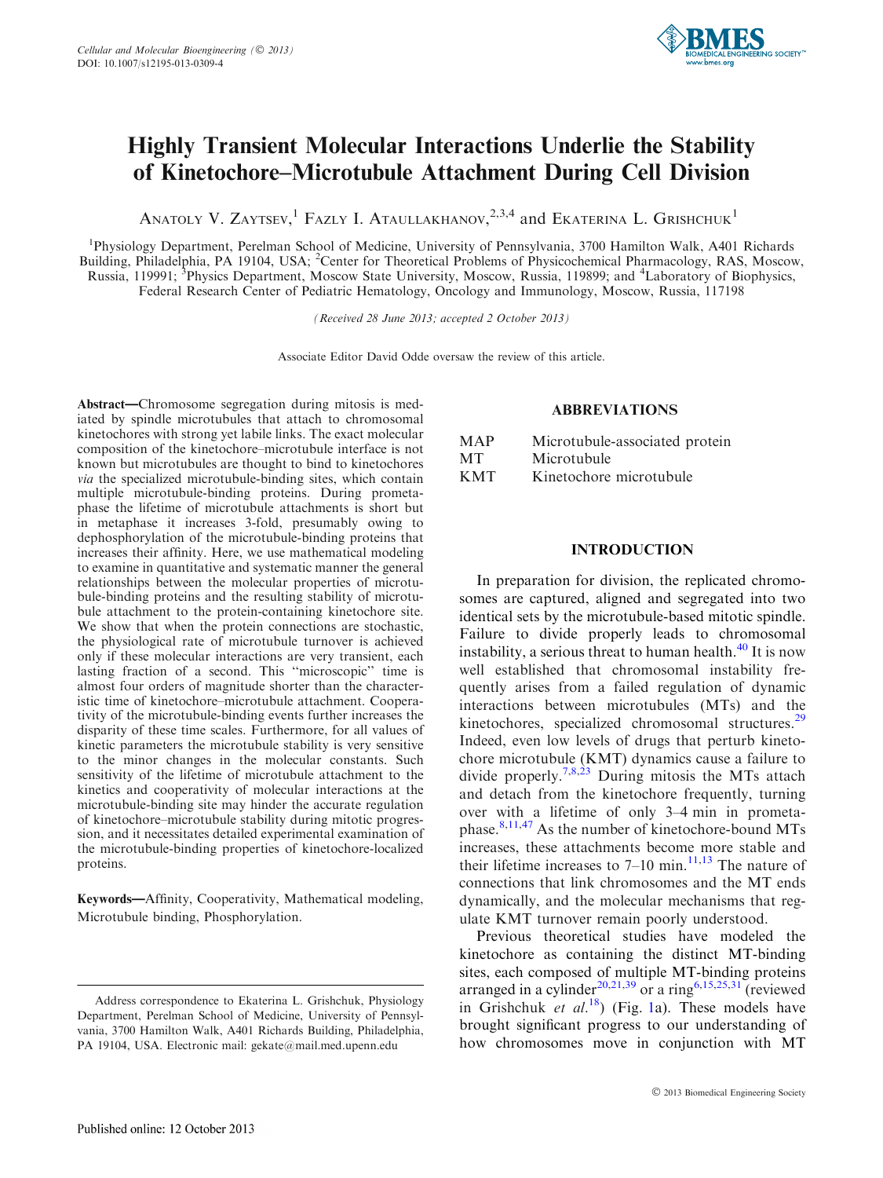

# Highly Transient Molecular Interactions Underlie the Stability of Kinetochore–Microtubule Attachment During Cell Division

ANATOLY V. ZAYTSEV,<sup>1</sup> FAZLY I. ATAULLAKHANOV,<sup>2,3,4</sup> and Ekaterina L. Grishchuk<sup>1</sup>

<sup>1</sup>Physiology Department, Perelman School of Medicine, University of Pennsylvania, 3700 Hamilton Walk, A401 Richards Building, Philadelphia, PA 19104, USA; <sup>2</sup>Center for Theoretical Problems of Physicochemical Pharmacology, RAS, Moscow, Russia, 119991; <sup>3</sup>Physics Department, Moscow State University, Moscow, Russia, 119899; and <sup>4</sup>Laboratory of Biophysics, Federal Research Center of Pediatric Hematology, Oncology and Immunology, Moscow, Russia, 117198

(Received 28 June 2013; accepted 2 October 2013)

Associate Editor David Odde oversaw the review of this article.

Abstract—Chromosome segregation during mitosis is mediated by spindle microtubules that attach to chromosomal kinetochores with strong yet labile links. The exact molecular composition of the kinetochore–microtubule interface is not known but microtubules are thought to bind to kinetochores via the specialized microtubule-binding sites, which contain multiple microtubule-binding proteins. During prometaphase the lifetime of microtubule attachments is short but in metaphase it increases 3-fold, presumably owing to dephosphorylation of the microtubule-binding proteins that increases their affinity. Here, we use mathematical modeling to examine in quantitative and systematic manner the general relationships between the molecular properties of microtubule-binding proteins and the resulting stability of microtubule attachment to the protein-containing kinetochore site. We show that when the protein connections are stochastic, the physiological rate of microtubule turnover is achieved only if these molecular interactions are very transient, each lasting fraction of a second. This ''microscopic'' time is almost four orders of magnitude shorter than the characteristic time of kinetochore–microtubule attachment. Cooperativity of the microtubule-binding events further increases the disparity of these time scales. Furthermore, for all values of kinetic parameters the microtubule stability is very sensitive to the minor changes in the molecular constants. Such sensitivity of the lifetime of microtubule attachment to the kinetics and cooperativity of molecular interactions at the microtubule-binding site may hinder the accurate regulation of kinetochore–microtubule stability during mitotic progression, and it necessitates detailed experimental examination of the microtubule-binding properties of kinetochore-localized proteins.

Keywords—Affinity, Cooperativity, Mathematical modeling, Microtubule binding, Phosphorylation.

# ABBREVIATIONS

| MAP        | Microtubule-associated protein |
|------------|--------------------------------|
| <b>MT</b>  | Microtubule                    |
| <b>KMT</b> | Kinetochore microtubule        |

#### INTRODUCTION

In preparation for division, the replicated chromosomes are captured, aligned and segregated into two identical sets by the microtubule-based mitotic spindle. Failure to divide properly leads to chromosomal instability, a serious threat to human health. $^{40}$  $^{40}$  $^{40}$  It is now well established that chromosomal instability frequently arises from a failed regulation of dynamic interactions between microtubules (MTs) and the kinetochores, specialized chromosomal structures.<sup>[29](#page-11-0)</sup> Indeed, even low levels of drugs that perturb kinetochore microtubule (KMT) dynamics cause a failure to divide properly.<sup>7,8,23</sup> During mitosis the MTs attach and detach from the kinetochore frequently, turning over with a lifetime of only 3–4 min in prometaphase. $8,11,47$  $8,11,47$  As the number of kinetochore-bound MTs increases, these attachments become more stable and their lifetime increases to  $7-10$  min.<sup>[11,13](#page-11-0)</sup> The nature of connections that link chromosomes and the MT ends dynamically, and the molecular mechanisms that regulate KMT turnover remain poorly understood.

Previous theoretical studies have modeled the kinetochore as containing the distinct MT-binding sites, each composed of multiple MT-binding proteins arranged in a cylinder<sup>[20,21,](#page-11-0)[39](#page-12-0)</sup> or a ring<sup>[6,15,25](#page-11-0),[31](#page-11-0)</sup> (reviewed in Grishchuk et al.<sup>[18](#page-11-0)</sup>) (Fig. [1a](#page-1-0)). These models have brought significant progress to our understanding of how chromosomes move in conjunction with MT

Address correspondence to Ekaterina L. Grishchuk, Physiology Department, Perelman School of Medicine, University of Pennsylvania, 3700 Hamilton Walk, A401 Richards Building, Philadelphia, PA 19104, USA. Electronic mail: gekate@mail.med.upenn.edu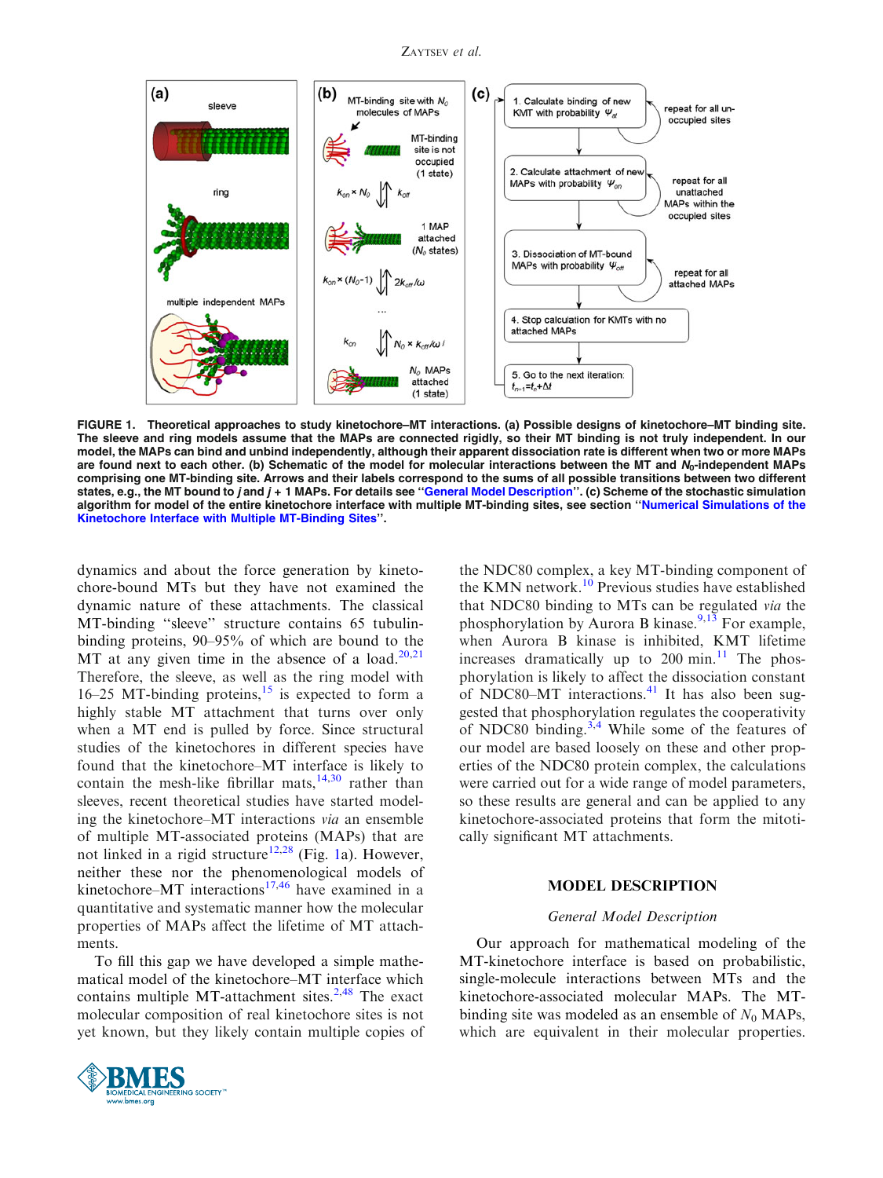ZAYTSEV et al.

<span id="page-1-0"></span>

FIGURE 1. Theoretical approaches to study kinetochore–MT interactions. (a) Possible designs of kinetochore–MT binding site. The sleeve and ring models assume that the MAPs are connected rigidly, so their MT binding is not truly independent. In our model, the MAPs can bind and unbind independently, although their apparent dissociation rate is different when two or more MAPs are found next to each other. (b) Schematic of the model for molecular interactions between the MT and  $N_0$ -independent MAPs comprising one MT-binding site. Arrows and their labels correspond to the sums of all possible transitions between two different states, e.g., the MT bound to j and  $j + 1$  MAPs. For details see "General Model Description". (c) Scheme of the stochastic simulation algorithm for model of the entire kinetochore interface with multiple MT-binding sites, see section ''[Numerical Simulations of the](#page-3-0) [Kinetochore Interface with Multiple MT-Binding Sites'](#page-3-0)'.

dynamics and about the force generation by kinetochore-bound MTs but they have not examined the dynamic nature of these attachments. The classical MT-binding ''sleeve'' structure contains 65 tubulinbinding proteins, 90–95% of which are bound to the MT at any given time in the absence of a load. $20,21$ Therefore, the sleeve, as well as the ring model with 16–25 MT-binding proteins, $15$  is expected to form a highly stable MT attachment that turns over only when a MT end is pulled by force. Since structural studies of the kinetochores in different species have found that the kinetochore–MT interface is likely to contain the mesh-like fibrillar mats, $14,30$  rather than sleeves, recent theoretical studies have started modeling the kinetochore–MT interactions via an ensemble of multiple MT-associated proteins (MAPs) that are not linked in a rigid structure<sup>[12,28](#page-11-0)</sup> (Fig. 1a). However, neither these nor the phenomenological models of kinetochore–MT interactions<sup>[17,](#page-11-0)[46](#page-12-0)</sup> have examined in a quantitative and systematic manner how the molecular properties of MAPs affect the lifetime of MT attachments.

To fill this gap we have developed a simple mathematical model of the kinetochore–MT interface which contains multiple MT-attachment sites. $2,48$  $2,48$  The exact molecular composition of real kinetochore sites is not yet known, but they likely contain multiple copies of



the NDC80 complex, a key MT-binding component of the KMN network.<sup>[10](#page-11-0)</sup> Previous studies have established that NDC80 binding to MTs can be regulated via the phosphorylation by Aurora B kinase.<sup>[9,13](#page-11-0)</sup> For example, when Aurora B kinase is inhibited, KMT lifetime increases dramatically up to 200 min. $\frac{11}{11}$  $\frac{11}{11}$  $\frac{11}{11}$  The phosphorylation is likely to affect the dissociation constant of NDC80–MT interactions. $41$  It has also been suggested that phosphorylation regulates the cooperativity of NDC80 binding.<sup>[3,4](#page-10-0)</sup> While some of the features of our model are based loosely on these and other properties of the NDC80 protein complex, the calculations were carried out for a wide range of model parameters, so these results are general and can be applied to any kinetochore-associated proteins that form the mitotically significant MT attachments.

#### MODEL DESCRIPTION

#### General Model Description

Our approach for mathematical modeling of the MT-kinetochore interface is based on probabilistic, single-molecule interactions between MTs and the kinetochore-associated molecular MAPs. The MTbinding site was modeled as an ensemble of  $N_0$  MAPs, which are equivalent in their molecular properties.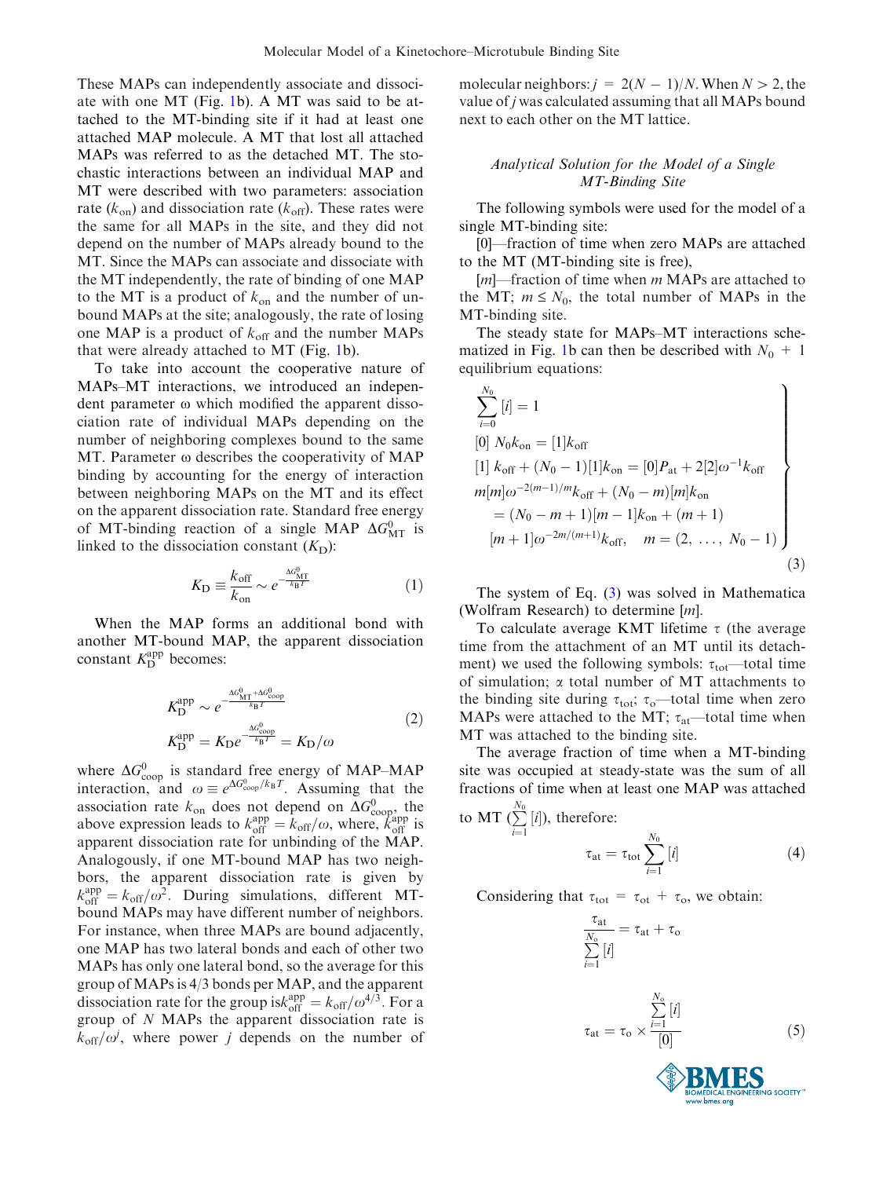<span id="page-2-0"></span>These MAPs can independently associate and dissociate with one MT (Fig. [1](#page-1-0)b). A MT was said to be attached to the MT-binding site if it had at least one attached MAP molecule. A MT that lost all attached MAPs was referred to as the detached MT. The stochastic interactions between an individual MAP and MT were described with two parameters: association rate ( $k_{\text{on}}$ ) and dissociation rate ( $k_{\text{off}}$ ). These rates were the same for all MAPs in the site, and they did not depend on the number of MAPs already bound to the MT. Since the MAPs can associate and dissociate with the MT independently, the rate of binding of one MAP to the MT is a product of  $k_{on}$  and the number of unbound MAPs at the site; analogously, the rate of losing one MAP is a product of  $k_{off}$  and the number MAPs that were already attached to MT (Fig. [1b](#page-1-0)).

To take into account the cooperative nature of MAPs–MT interactions, we introduced an independent parameter  $\omega$  which modified the apparent dissociation rate of individual MAPs depending on the number of neighboring complexes bound to the same MT. Parameter  $\omega$  describes the cooperativity of MAP binding by accounting for the energy of interaction between neighboring MAPs on the MT and its effect on the apparent dissociation rate. Standard free energy of MT-binding reaction of a single MAP  $\Delta G_{\text{MT}}^{0}$  is linked to the dissociation constant  $(K<sub>D</sub>)$ :

$$
K_{\rm D} \equiv \frac{k_{\rm off}}{k_{\rm on}} \sim e^{-\frac{\Delta G_{\rm MT}^0}{k_{\rm B}T}} \tag{1}
$$

When the MAP forms an additional bond with another MT-bound MAP, the apparent dissociation constant  $K_{\text{D}}^{\text{app}}$  becomes:

$$
K_{\rm D}^{\rm app} \sim e^{-\frac{\Delta G_{\rm MT}^0 + \Delta G_{\rm coop}^0}{k_{\rm B}T}}
$$
  
\n
$$
K_{\rm D}^{\rm app} = K_{\rm D} e^{-\frac{\Delta G_{\rm coop}^0}{k_{\rm B}T}} = K_{\rm D}/\omega
$$
\n(2)

where  $\Delta G_{\text{coop}}^0$  is standard free energy of MAP–MAP interaction, and  $\omega \equiv e^{\Delta G_{\text{coop}}^0/k_B T}$ . Assuming that the association rate  $k_{on}$  does not depend on  $\Delta G_{\text{coop}}^{0}$ , the above expression leads to  $k_{off}^{app} = k_{off}/\omega$ , where,  $k_{off}^{app}$  is apparent dissociation rate for unbinding of the MAP. Analogously, if one MT-bound MAP has two neighbors, the apparent dissociation rate is given by  $k_{\text{off}}^{\text{app}} = k_{\text{off}} / \omega^2$ . During simulations, different MTbound MAPs may have different number of neighbors. For instance, when three MAPs are bound adjacently, one MAP has two lateral bonds and each of other two MAPs has only one lateral bond, so the average for this group of MAPs is 4/3 bonds per MAP, and the apparent dissociation rate for the group is  $k_{\text{off}}^{\text{app}}=k_{\text{off}}/\omega^{4/3}$ . For a group of N MAPs the apparent dissociation rate is  $k_{\text{off}}/\omega$ , where power j depends on the number of molecular neighbors:  $j = 2(N - 1)/N$ . When  $N > 2$ , the value of j was calculated assuming that all MAPs bound next to each other on the MT lattice.

## Analytical Solution for the Model of a Single MT-Binding Site

The following symbols were used for the model of a single MT-binding site:

[0]—fraction of time when zero MAPs are attached to the MT (MT-binding site is free),

 $[m]$ —fraction of time when *m* MAPs are attached to the MT;  $m \leq N_0$ , the total number of MAPs in the MT-binding site.

The steady state for MAPs–MT interactions sche-matized in Fig. [1](#page-1-0)b can then be described with  $N_0 + 1$ equilibrium equations:

$$
\sum_{i=0}^{N_0} [i] = 1
$$
\n
$$
[0] N_0 k_{on} = [1] k_{off}
$$
\n
$$
[1] k_{off} + (N_0 - 1)[1] k_{on} = [0] P_{at} + 2[2] \omega^{-1} k_{off}
$$
\n
$$
m[m] \omega^{-2(m-1)/m} k_{off} + (N_0 - m)[m] k_{on}
$$
\n
$$
= (N_0 - m + 1)[m - 1] k_{on} + (m + 1)
$$
\n
$$
[m + 1] \omega^{-2m/(m+1)} k_{off}, \quad m = (2, ..., N_0 - 1)
$$
\n(3)

The system of Eq. (3) was solved in Mathematica (Wolfram Research) to determine [m].

To calculate average KMT lifetime  $\tau$  (the average time from the attachment of an MT until its detachment) we used the following symbols:  $\tau_{\text{tot}}$ —total time of simulation;  $\alpha$  total number of MT attachments to the binding site during  $\tau_{\text{tot}}$ ;  $\tau_{\text{o}}$ —total time when zero MAPs were attached to the MT;  $\tau_{at}$ —total time when MT was attached to the binding site.

The average fraction of time when a MT-binding site was occupied at steady-state was the sum of all fractions of time when at least one MAP was attached

to MT 
$$
(\sum_{i=1}^{N_0} [i])
$$
, therefore:  
\n
$$
\tau_{\text{at}} = \tau_{\text{tot}} \sum_{i=1}^{N_0} [i]
$$
\n(4)

Considering that  $\tau_{\text{tot}} = \tau_{\text{ot}} + \tau_{\text{o}}$ , we obtain:

 $\tau_{\rm at}$ 

$$
\frac{v_{\text{at}}}{N_{\text{o}}} = \tau_{\text{at}} + \tau_{\text{o}}
$$
\n
$$
\sum_{i=1}^{N_{\text{o}}}[i]
$$
\n
$$
\tau_{\text{at}} = \tau_{\text{o}} \times \frac{\sum_{i=1}^{N_{\text{o}}}[i]}{[0]}
$$
\n(5)

GINEERING SOCIETY<sup>®</sup>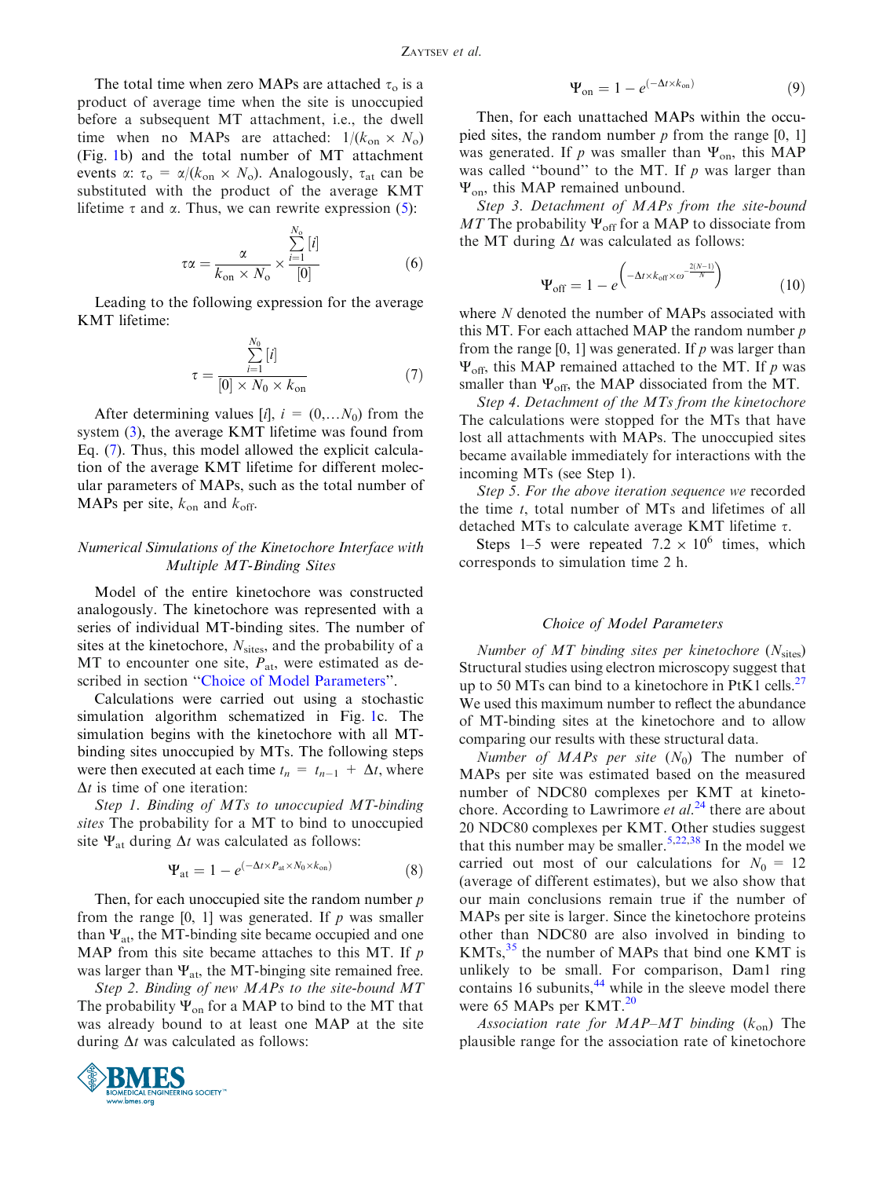<span id="page-3-0"></span>The total time when zero MAPs are attached  $\tau_0$  is a product of average time when the site is unoccupied before a subsequent MT attachment, i.e., the dwell time when no MAPs are attached:  $1/(k_{on} \times N_o)$ (Fig. [1b](#page-1-0)) and the total number of MT attachment events  $\alpha$ :  $\tau_o = \alpha/(k_{on} \times N_o)$ . Analogously,  $\tau_{at}$  can be substituted with the product of the average KMT lifetime  $\tau$  and  $\alpha$ . Thus, we can rewrite expression ([5\)](#page-2-0):

$$
\tau \alpha = \frac{\alpha}{k_{\text{on}} \times N_{\text{o}}} \times \frac{\sum_{i=1}^{N_{\text{o}}}[i]}{[0]}
$$
(6)

Leading to the following expression for the average KMT lifetime:

$$
\tau = \frac{\sum_{i=1}^{N_0} [i]}{[0] \times N_0 \times k_{\text{on}}}
$$
(7)

After determining values [i],  $i = (0,...N_0)$  from the system [\(3](#page-2-0)), the average KMT lifetime was found from Eq. (7). Thus, this model allowed the explicit calculation of the average KMT lifetime for different molecular parameters of MAPs, such as the total number of MAPs per site,  $k_{on}$  and  $k_{off}$ .

## Numerical Simulations of the Kinetochore Interface with Multiple MT-Binding Sites

Model of the entire kinetochore was constructed analogously. The kinetochore was represented with a series of individual MT-binding sites. The number of sites at the kinetochore,  $N<sub>sites</sub>$ , and the probability of a MT to encounter one site,  $P_{at}$ , were estimated as described in section ''Choice of Model Parameters''.

Calculations were carried out using a stochastic simulation algorithm schematized in Fig. [1c](#page-1-0). The simulation begins with the kinetochore with all MTbinding sites unoccupied by MTs. The following steps were then executed at each time  $t_n = t_{n-1} + \Delta t$ , where  $\Delta t$  is time of one iteration:

Step 1. Binding of MTs to unoccupied MT-binding sites The probability for a MT to bind to unoccupied site  $\Psi_{at}$  during  $\Delta t$  was calculated as follows:

$$
\Psi_{\text{at}} = 1 - e^{(-\Delta t \times P_{\text{at}} \times N_0 \times k_{\text{on}})}
$$
(8)

Then, for each unoccupied site the random number  $p$ from the range  $[0, 1]$  was generated. If p was smaller than  $\Psi_{at}$ , the MT-binding site became occupied and one MAP from this site became attaches to this MT. If  $p$ was larger than  $\Psi_{at}$ , the MT-binging site remained free.

Step 2. Binding of new MAPs to the site-bound MT The probability  $\Psi_{on}$  for a MAP to bind to the MT that was already bound to at least one MAP at the site during  $\Delta t$  was calculated as follows:



$$
\Psi_{\text{on}} = 1 - e^{(-\Delta t \times k_{\text{on}})} \tag{9}
$$

Then, for each unattached MAPs within the occupied sites, the random number  $p$  from the range [0, 1] was generated. If p was smaller than  $\Psi_{\text{on}}$ , this MAP was called "bound" to the MT. If  $p$  was larger than  $\Psi_{\text{on}}$ , this MAP remained unbound.

Step 3. Detachment of MAPs from the site-bound MT The probability  $\Psi_{\text{off}}$  for a MAP to dissociate from the MT during  $\Delta t$  was calculated as follows:

$$
\Psi_{\text{off}} = 1 - e^{\left(-\Delta t \times k_{\text{off}} \times \omega^{-\frac{2(N-1)}{N}}\right)} \tag{10}
$$

where N denoted the number of MAPs associated with this MT. For each attached MAP the random number  $p$ from the range [0, 1] was generated. If  $p$  was larger than  $\Psi_{\text{off}}$ , this MAP remained attached to the MT. If p was smaller than  $\Psi_{\text{off}}$ , the MAP dissociated from the MT.

Step 4. Detachment of the MTs from the kinetochore The calculations were stopped for the MTs that have lost all attachments with MAPs. The unoccupied sites became available immediately for interactions with the incoming MTs (see Step 1).

Step 5. For the above iteration sequence we recorded the time  $t$ , total number of MTs and lifetimes of all detached MTs to calculate average KMT lifetime  $\tau$ .

Steps 1–5 were repeated  $7.2 \times 10^6$  times, which corresponds to simulation time 2 h.

### Choice of Model Parameters

Number of  $MT$  binding sites per kinetochore  $(N_{\text{sites}})$ Structural studies using electron microscopy suggest that up to 50 MTs can bind to a kinetochore in PtK1 cells.<sup>[27](#page-11-0)</sup> We used this maximum number to reflect the abundance of MT-binding sites at the kinetochore and to allow comparing our results with these structural data.

Number of MAPs per site  $(N_0)$  The number of MAPs per site was estimated based on the measured number of NDC80 complexes per KMT at kinetochore. According to Lawrimore *et al.*<sup>[24](#page-11-0)</sup> there are about 20 NDC80 complexes per KMT. Other studies suggest that this number may be smaller.<sup>[5,22,](#page-11-0)[38](#page-12-0)</sup> In the model we carried out most of our calculations for  $N_0 = 12$ (average of different estimates), but we also show that our main conclusions remain true if the number of MAPs per site is larger. Since the kinetochore proteins other than NDC80 are also involved in binding to  $KMTs$ ,<sup>[35](#page-11-0)</sup> the number of MAPs that bind one KMT is unlikely to be small. For comparison, Dam1 ring contains 16 subunits, $44$  while in the sleeve model there were 65 MAPs per KMT.<sup>[20](#page-11-0)</sup>

Association rate for MAP–MT binding  $(k_{on})$  The plausible range for the association rate of kinetochore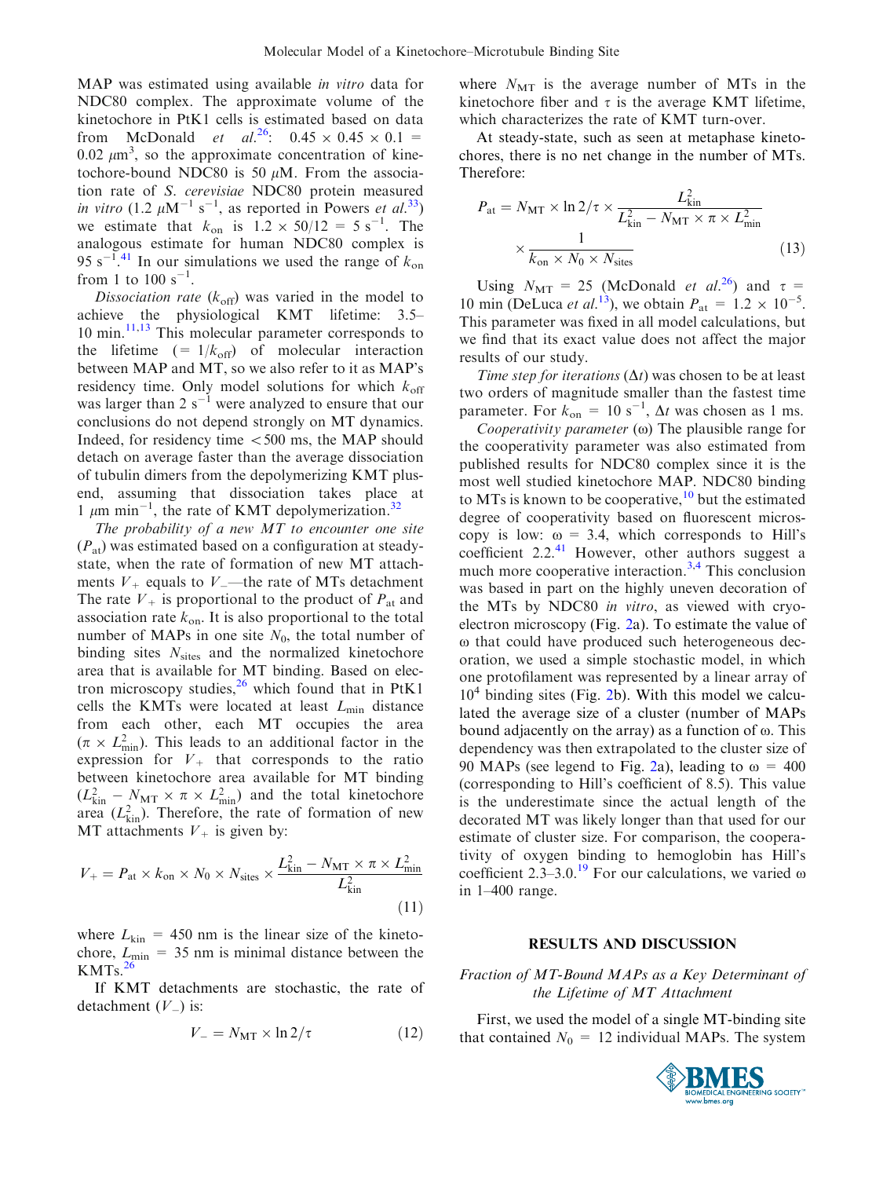MAP was estimated using available *in vitro* data for NDC80 complex. The approximate volume of the kinetochore in PtK1 cells is estimated based on data from McDonald *et al.*<sup>26</sup>:  $0.45 \times 0.45 \times 0.1$  = 0.02  $\mu$ m<sup>3</sup>, so the approximate concentration of kinetochore-bound NDC80 is 50  $\mu$ M. From the association rate of S. cerevisiae NDC80 protein measured in vitro (1.2  $\mu$ M<sup>-1</sup> s<sup>-1</sup>, as reported in Powers et al.<sup>33</sup>) we estimate that  $k_{on}$  is  $1.2 \times 50/12 = 5 \text{ s}^{-1}$ . The analogous estimate for human NDC80 complex is 95 s<sup>-1</sup>.<sup>[41](#page-12-0)</sup> In our simulations we used the range of  $k_{on}$ from 1 to  $100 s^{-1}$ .

Dissociation rate  $(k_{\text{off}})$  was varied in the model to achieve the physiological KMT lifetime: 3.5– 10 min.[11,13](#page-11-0) This molecular parameter corresponds to the lifetime  $(= 1/k<sub>off</sub>)$  of molecular interaction between MAP and MT, so we also refer to it as MAP's residency time. Only model solutions for which  $k_{\text{off}}$ was larger than 2  $s^{-1}$  were analyzed to ensure that our conclusions do not depend strongly on MT dynamics. Indeed, for residency time  $<$  500 ms, the MAP should detach on average faster than the average dissociation of tubulin dimers from the depolymerizing KMT plusend, assuming that dissociation takes place at 1  $\mu$ m min<sup>-1</sup>, the rate of KMT depolymerization.<sup>[32](#page-11-0)</sup>

The probability of a new  $MT$  to encounter one site  $(P<sub>at</sub>)$  was estimated based on a configuration at steadystate, when the rate of formation of new MT attachments  $V_+$  equals to  $V_+$ —the rate of MTs detachment The rate  $V_+$  is proportional to the product of  $P_{at}$  and association rate  $k_{\text{on}}$ . It is also proportional to the total number of MAPs in one site  $N_0$ , the total number of binding sites  $N<sub>sites</sub>$  and the normalized kinetochore area that is available for MT binding. Based on electron microscopy studies, $^{26}$  $^{26}$  $^{26}$  which found that in PtK1 cells the KMTs were located at least  $L_{\text{min}}$  distance from each other, each MT occupies the area  $(\pi \times L_{\text{min}}^2)$ . This leads to an additional factor in the expression for  $V_{+}$  that corresponds to the ratio between kinetochore area available for MT binding  $(L_{\text{kin}}^2 - N_{\text{MT}} \times \pi \times L_{\text{min}}^2)$  and the total kinetochore area  $(L_{\text{kin}}^2)$ . Therefore, the rate of formation of new MT attachments  $V_+$  is given by:

$$
V_{+} = P_{\text{at}} \times k_{\text{on}} \times N_{0} \times N_{\text{sites}} \times \frac{L_{\text{kin}}^{2} - N_{\text{MT}} \times \pi \times L_{\text{min}}^{2}}{L_{\text{kin}}^{2}}
$$
\n(11)

where  $L_{kin}$  = 450 nm is the linear size of the kinetochore,  $L_{\text{min}} = 35$  nm is minimal distance between the  $KMTs.<sup>26</sup>$  $KMTs.<sup>26</sup>$  $KMTs.<sup>26</sup>$ 

If KMT detachments are stochastic, the rate of detachment  $(V_{-})$  is:

$$
V_{-} = N_{\text{MT}} \times \ln 2/\tau \tag{12}
$$

where  $N_{\text{MT}}$  is the average number of MTs in the kinetochore fiber and  $\tau$  is the average KMT lifetime, which characterizes the rate of KMT turn-over.

At steady-state, such as seen at metaphase kinetochores, there is no net change in the number of MTs. Therefore:

$$
P_{\text{at}} = N_{\text{MT}} \times \ln 2/\tau \times \frac{L_{\text{kin}}^2}{L_{\text{kin}}^2 - N_{\text{MT}} \times \pi \times L_{\text{min}}^2}
$$
  
 
$$
\times \frac{1}{k_{\text{on}} \times N_0 \times N_{\text{sites}}}
$$
 (13)

Using  $N_{\text{MT}} = 25$  (McDonald *et al.*<sup>26</sup>) and  $\tau =$ 10 min (DeLuca *et al.*<sup>13</sup>), we obtain  $P_{at} = 1.2 \times 10^{-5}$ . This parameter was fixed in all model calculations, but we find that its exact value does not affect the major results of our study.

Time step for iterations  $(\Delta t)$  was chosen to be at least two orders of magnitude smaller than the fastest time parameter. For  $k_{on} = 10 \text{ s}^{-1}$ ,  $\Delta t$  was chosen as 1 ms.

Cooperativity parameter  $(\omega)$  The plausible range for the cooperativity parameter was also estimated from published results for NDC80 complex since it is the most well studied kinetochore MAP. NDC80 binding to MTs is known to be cooperative,  $10$  but the estimated degree of cooperativity based on fluorescent microscopy is low:  $\omega = 3.4$ , which corresponds to Hill's coefficient  $2.2^{41}$  $2.2^{41}$  $2.2^{41}$  However, other authors suggest a much more cooperative interaction.<sup>[3,4](#page-10-0)</sup> This conclusion was based in part on the highly uneven decoration of the MTs by NDC80 in vitro, as viewed with cryoelectron microscopy (Fig. [2a](#page-5-0)). To estimate the value of  $\omega$  that could have produced such heterogeneous decoration, we used a simple stochastic model, in which one protofilament was represented by a linear array of  $10<sup>4</sup>$  binding sites (Fig. [2b](#page-5-0)). With this model we calculated the average size of a cluster (number of MAPs bound adjacently on the array) as a function of  $\omega$ . This dependency was then extrapolated to the cluster size of 90 MAPs (see legend to Fig. [2](#page-5-0)a), leading to  $\omega = 400$ (corresponding to Hill's coefficient of 8.5). This value is the underestimate since the actual length of the decorated MT was likely longer than that used for our estimate of cluster size. For comparison, the cooperativity of oxygen binding to hemoglobin has Hill's coefficient 2.3–3.0.<sup>19</sup> For our calculations, we varied  $\omega$ in 1–400 range.

#### RESULTS AND DISCUSSION

## Fraction of MT-Bound MAPs as a Key Determinant of the Lifetime of MT Attachment

First, we used the model of a single MT-binding site that contained  $N_0 = 12$  individual MAPs. The system

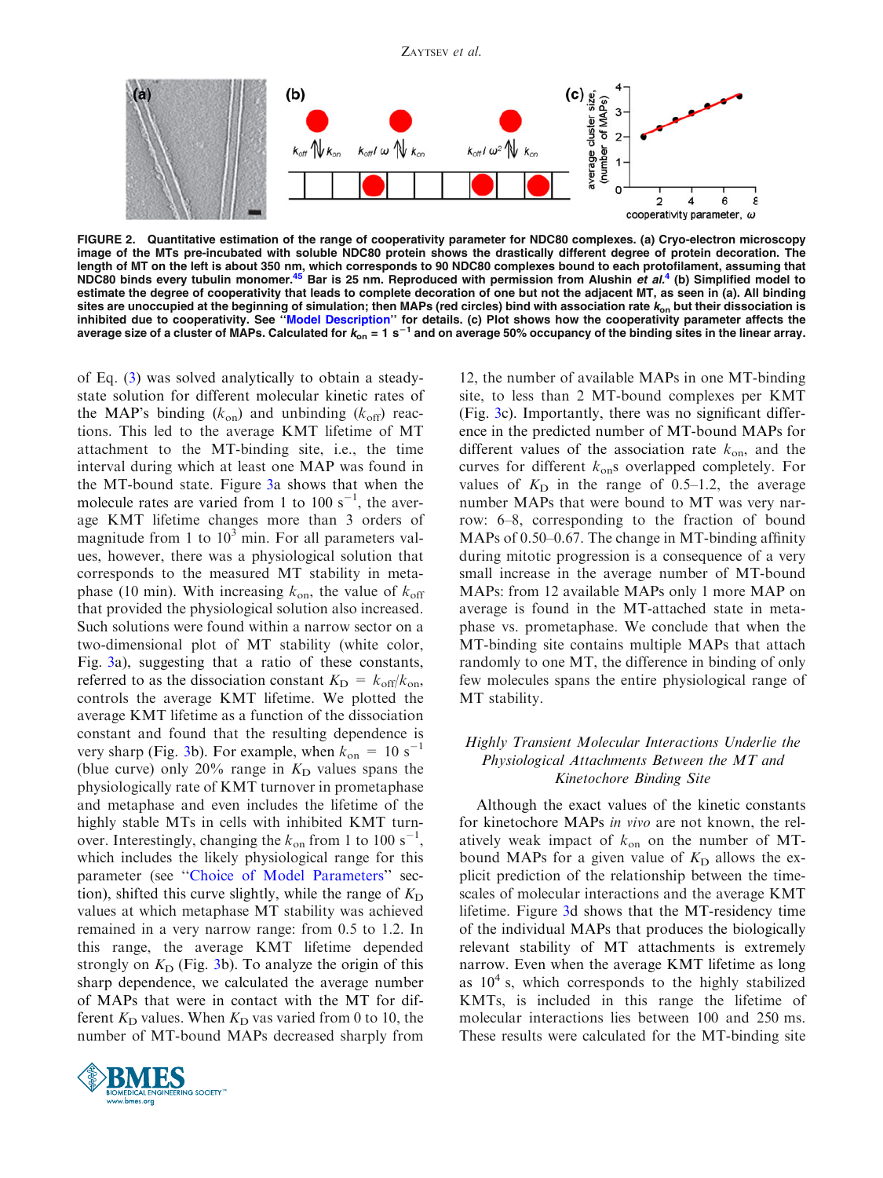<span id="page-5-0"></span>

FIGURE 2. Quantitative estimation of the range of cooperativity parameter for NDC80 complexes. (a) Cryo-electron microscopy image of the MTs pre-incubated with soluble NDC80 protein shows the drastically different degree of protein decoration. The length of MT on the left is about 350 nm, which corresponds to 90 NDC80 complexes bound to each protofilament, assuming that<br>NDC80 binds every tubulin monomer.<sup>[4](#page-10-0)5</sup> Bar is 25 nm. Reproduced with permission from Alushin *et* estimate the degree of cooperativity that leads to complete decoration of one but not the adjacent MT, as seen in (a). All binding sites are unoccupied at the beginning of simulation; then MAPs (red circles) bind with association rate  $k_{on}$  but their dissociation is inhibited due to cooperativity. See ''[Model Description'](#page-1-0)' for details. (c) Plot shows how the cooperativity parameter affects the average size of a cluster of MAPs. Calculated for  $k_{on} = 1$  s<sup>-1</sup> and on average 50% occupancy of the binding sites in the linear array.

of Eq. ([3\)](#page-2-0) was solved analytically to obtain a steadystate solution for different molecular kinetic rates of the MAP's binding  $(k_{on})$  and unbinding  $(k_{off})$  reactions. This led to the average KMT lifetime of MT attachment to the MT-binding site, i.e., the time interval during which at least one MAP was found in the MT-bound state. Figure [3](#page-6-0)a shows that when the molecule rates are varied from 1 to 100  $s^{-1}$ , the average KMT lifetime changes more than 3 orders of magnitude from 1 to  $10<sup>3</sup>$  min. For all parameters values, however, there was a physiological solution that corresponds to the measured MT stability in metaphase (10 min). With increasing  $k_{\text{on}}$ , the value of  $k_{\text{off}}$ that provided the physiological solution also increased. Such solutions were found within a narrow sector on a two-dimensional plot of MT stability (white color, Fig. [3](#page-6-0)a), suggesting that a ratio of these constants, referred to as the dissociation constant  $K_{\text{D}} = k_{\text{off}}/k_{\text{on}}$ , controls the average KMT lifetime. We plotted the average KMT lifetime as a function of the dissociation constant and found that the resulting dependence is very sharp (Fig. [3](#page-6-0)b). For example, when  $k_{on} = 10 s^{-1}$ (blue curve) only 20% range in  $K<sub>D</sub>$  values spans the physiologically rate of KMT turnover in prometaphase and metaphase and even includes the lifetime of the highly stable MTs in cells with inhibited KMT turnover. Interestingly, changing the  $k_{on}$  from 1 to 100 s<sup>-1</sup>, which includes the likely physiological range for this parameter (see ''[Choice of Model Parameters](#page-3-0)'' section), shifted this curve slightly, while the range of  $K_D$ values at which metaphase MT stability was achieved remained in a very narrow range: from 0.5 to 1.2. In this range, the average KMT lifetime depended strongly on  $K<sub>D</sub>$  (Fig. [3b](#page-6-0)). To analyze the origin of this sharp dependence, we calculated the average number of MAPs that were in contact with the MT for different  $K_D$  values. When  $K_D$  vas varied from 0 to 10, the number of MT-bound MAPs decreased sharply from



12, the number of available MAPs in one MT-binding site, to less than 2 MT-bound complexes per KMT (Fig. [3c](#page-6-0)). Importantly, there was no significant difference in the predicted number of MT-bound MAPs for different values of the association rate  $k_{on}$ , and the curves for different  $k_{on}$ s overlapped completely. For values of  $K<sub>D</sub>$  in the range of 0.5–1.2, the average number MAPs that were bound to MT was very narrow: 6–8, corresponding to the fraction of bound MAPs of 0.50–0.67. The change in MT-binding affinity during mitotic progression is a consequence of a very small increase in the average number of MT-bound MAPs: from 12 available MAPs only 1 more MAP on average is found in the MT-attached state in metaphase vs. prometaphase. We conclude that when the MT-binding site contains multiple MAPs that attach randomly to one MT, the difference in binding of only few molecules spans the entire physiological range of MT stability.

## Highly Transient Molecular Interactions Underlie the Physiological Attachments Between the MT and Kinetochore Binding Site

Although the exact values of the kinetic constants for kinetochore MAPs in vivo are not known, the relatively weak impact of  $k_{on}$  on the number of MTbound MAPs for a given value of  $K<sub>D</sub>$  allows the explicit prediction of the relationship between the timescales of molecular interactions and the average KMT lifetime. Figure [3](#page-6-0)d shows that the MT-residency time of the individual MAPs that produces the biologically relevant stability of MT attachments is extremely narrow. Even when the average KMT lifetime as long as  $10<sup>4</sup>$  s, which corresponds to the highly stabilized KMTs, is included in this range the lifetime of molecular interactions lies between 100 and 250 ms. These results were calculated for the MT-binding site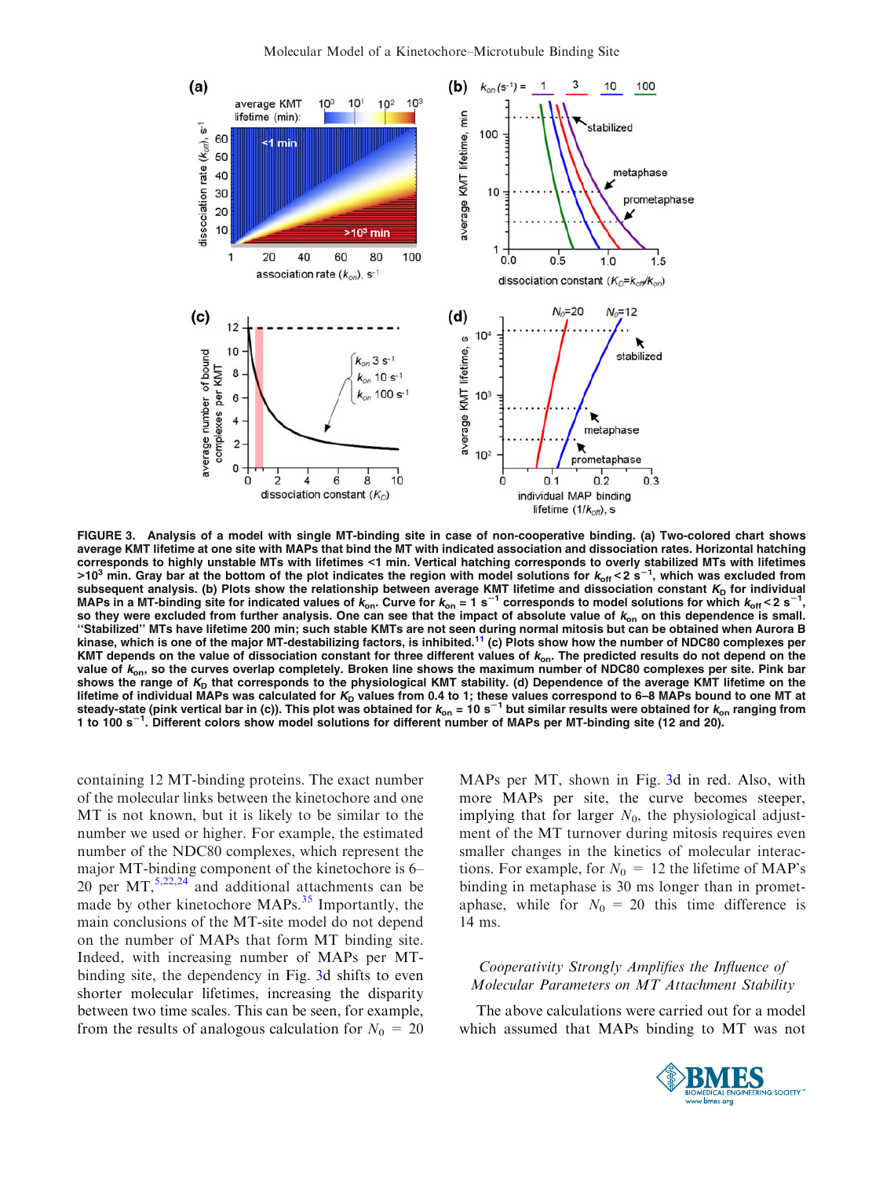<span id="page-6-0"></span>

FIGURE 3. Analysis of a model with single MT-binding site in case of non-cooperative binding. (a) Two-colored chart shows average KMT lifetime at one site with MAPs that bind the MT with indicated association and dissociation rates. Horizontal hatching corresponds to highly unstable MTs with lifetimes <1 min. Vertical hatching corresponds to overly stabilized MTs with lifetimes >10<sup>3</sup> min. Gray bar at the bottom of the plot indicates the region with model solutions for  $k_{\rm off}$ <2 s<sup>−1</sup>, which was excluded from subsequent analysis. (b) Plots show the relationship between average KMT lifetime and dissociation constant *K*<sub>D</sub> for individual<br>MAPs in a MT-binding site for indicated values of *k*<sub>on</sub>. Curve for *k*<sub>on</sub> = 1 s<sup>−1</sup> corre so they were excluded from further analysis. One can see that the impact of absolute value of  $k_{on}$  on this dependence is small. "Stabilized" MTs have lifetime 200 min; such stable KMTs are not seen during normal mitosis but can be obtained when Aurora B<br>kinase, which is one of the major MT-destabilizing factors, is inhibited.<sup>11</sup> (c) Plots show how KMT depends on the value of dissociation constant for three different values of  $k_{\text{on}}$ . The predicted results do not depend on the value of  $k_{on}$ , so the curves overlap completely. Broken line shows the maximum number of NDC80 complexes per site. Pink bar shows the range of  $K_D$  that corresponds to the physiological KMT stability. (d) Dependence of the average KMT lifetime on the lifetime of individual MAPs was calculated for  $K_D$  values from 0.4 to 1; these values correspond to 6–8 MAPs bound to one MT at steady-state (pink vertical bar in (c)). This plot was obtained for  $k_{on}$  = 10 s<sup>-1</sup> but similar results were obtained for  $k_{on}$  ranging from 1 to 100 s<sup>-1</sup>. Different colors show model solutions for different number of MAPs per MT-binding site (12 and 20).

containing 12 MT-binding proteins. The exact number of the molecular links between the kinetochore and one MT is not known, but it is likely to be similar to the number we used or higher. For example, the estimated number of the NDC80 complexes, which represent the major MT-binding component of the kinetochore is 6– 20 per  $MT$ ,<sup>[5,22,24](#page-11-0)</sup> and additional attachments can be made by other kinetochore MAPs.<sup>[35](#page-11-0)</sup> Importantly, the main conclusions of the MT-site model do not depend on the number of MAPs that form MT binding site. Indeed, with increasing number of MAPs per MTbinding site, the dependency in Fig. 3d shifts to even shorter molecular lifetimes, increasing the disparity between two time scales. This can be seen, for example, from the results of analogous calculation for  $N_0 = 20$  MAPs per MT, shown in Fig. 3d in red. Also, with more MAPs per site, the curve becomes steeper, implying that for larger  $N_0$ , the physiological adjustment of the MT turnover during mitosis requires even smaller changes in the kinetics of molecular interactions. For example, for  $N_0 = 12$  the lifetime of MAP's binding in metaphase is 30 ms longer than in prometaphase, while for  $N_0 = 20$  this time difference is 14 ms.

# Cooperativity Strongly Amplifies the Influence of Molecular Parameters on MT Attachment Stability

The above calculations were carried out for a model which assumed that MAPs binding to MT was not

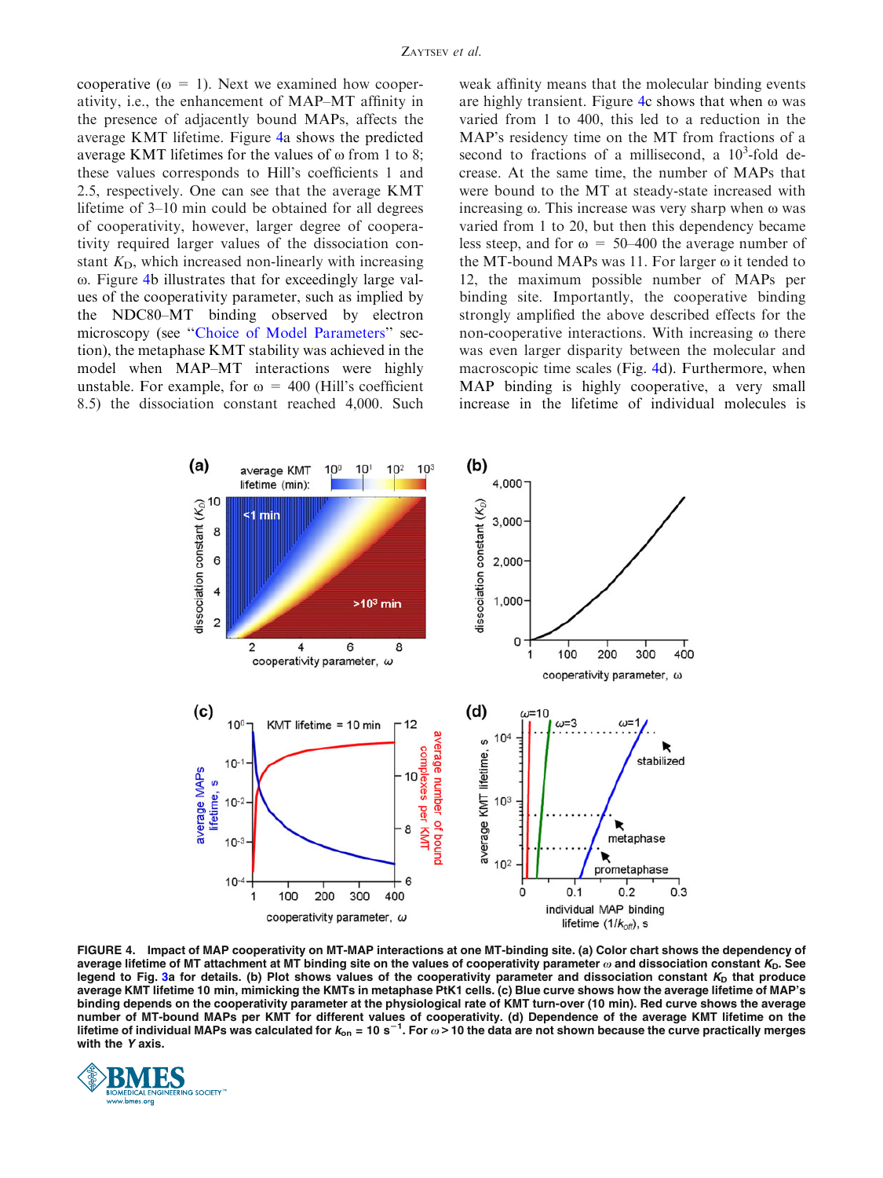<span id="page-7-0"></span>cooperative ( $\omega = 1$ ). Next we examined how cooperativity, i.e., the enhancement of MAP–MT affinity in the presence of adjacently bound MAPs, affects the average KMT lifetime. Figure 4a shows the predicted average KMT lifetimes for the values of  $\omega$  from 1 to 8; these values corresponds to Hill's coefficients 1 and 2.5, respectively. One can see that the average KMT lifetime of 3–10 min could be obtained for all degrees of cooperativity, however, larger degree of cooperativity required larger values of the dissociation constant  $K<sub>D</sub>$ , which increased non-linearly with increasing ω. Figure 4b illustrates that for exceedingly large values of the cooperativity parameter, such as implied by the NDC80–MT binding observed by electron microscopy (see '['Choice of Model Parameters](#page-3-0)'' section), the metaphase KMT stability was achieved in the model when MAP–MT interactions were highly unstable. For example, for  $\omega = 400$  (Hill's coefficient 8.5) the dissociation constant reached 4,000. Such weak affinity means that the molecular binding events are highly transient. Figure 4c shows that when  $\omega$  was varied from 1 to 400, this led to a reduction in the MAP's residency time on the MT from fractions of a second to fractions of a millisecond, a  $10^3$ -fold decrease. At the same time, the number of MAPs that were bound to the MT at steady-state increased with increasing  $\omega$ . This increase was very sharp when  $\omega$  was varied from 1 to 20, but then this dependency became less steep, and for  $\omega = 50-400$  the average number of the MT-bound MAPs was 11. For larger  $\omega$  it tended to 12, the maximum possible number of MAPs per binding site. Importantly, the cooperative binding strongly amplified the above described effects for the non-cooperative interactions. With increasing  $\omega$  there was even larger disparity between the molecular and macroscopic time scales (Fig. 4d). Furthermore, when MAP binding is highly cooperative, a very small increase in the lifetime of individual molecules is



FIGURE 4. Impact of MAP cooperativity on MT-MAP interactions at one MT-binding site. (a) Color chart shows the dependency of average lifetime of MT attachment at MT binding site on the values of cooperativity parameter  $\omega$  and dissociation constant  $K_D$ . See legend to Fig. [3](#page-6-0)a for details. (b) Plot shows values of the cooperativity parameter and dissociation constant  $K_D$  that produce average KMT lifetime 10 min, mimicking the KMTs in metaphase PtK1 cells. (c) Blue curve shows how the average lifetime of MAP's binding depends on the cooperativity parameter at the physiological rate of KMT turn-over (10 min). Red curve shows the average number of MT-bound MAPs per KMT for different values of cooperativity. (d) Dependence of the average KMT lifetime on the lifetime of individual MAPs was calculated for  $k_{\rm on}$  = 10 s $^{-1}$ . For  $\omega$  > 10 the data are not shown because the curve practically merges with the Y axis.

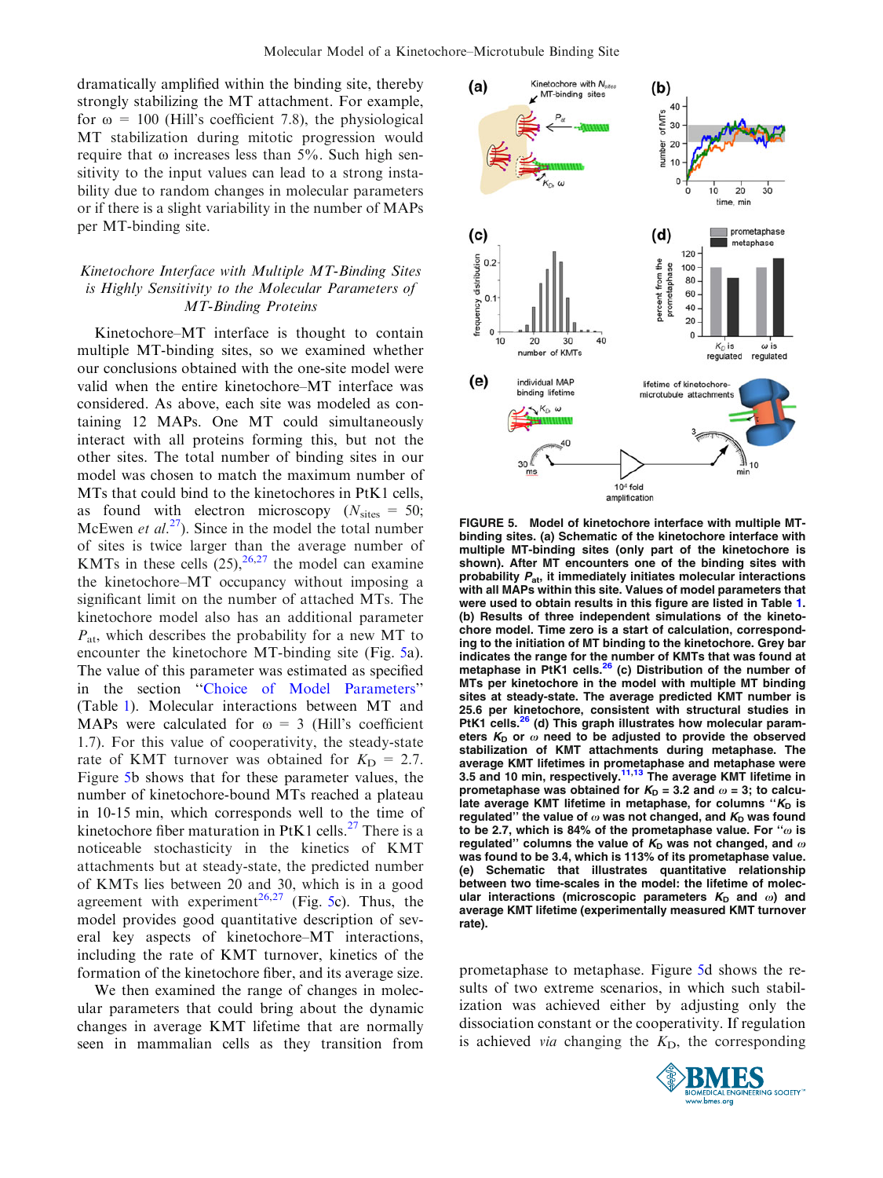<span id="page-8-0"></span>dramatically amplified within the binding site, thereby strongly stabilizing the MT attachment. For example, for  $\omega$  = 100 (Hill's coefficient 7.8), the physiological MT stabilization during mitotic progression would require that  $\omega$  increases less than 5%. Such high sensitivity to the input values can lead to a strong instability due to random changes in molecular parameters or if there is a slight variability in the number of MAPs per MT-binding site.

# Kinetochore Interface with Multiple MT-Binding Sites is Highly Sensitivity to the Molecular Parameters of MT-Binding Proteins

Kinetochore–MT interface is thought to contain multiple MT-binding sites, so we examined whether our conclusions obtained with the one-site model were valid when the entire kinetochore–MT interface was considered. As above, each site was modeled as containing 12 MAPs. One MT could simultaneously interact with all proteins forming this, but not the other sites. The total number of binding sites in our model was chosen to match the maximum number of MTs that could bind to the kinetochores in PtK1 cells, as found with electron microscopy ( $N<sub>sites</sub> = 50$ ; McEwen et  $al^{27}$ ). Since in the model the total number of sites is twice larger than the average number of KMTs in these cells  $(25)$ ,  $26,27$  $26,27$  the model can examine the kinetochore–MT occupancy without imposing a significant limit on the number of attached MTs. The kinetochore model also has an additional parameter  $P_{\text{at}}$ , which describes the probability for a new MT to encounter the kinetochore MT-binding site (Fig. 5a). The value of this parameter was estimated as specified in the section ''[Choice of Model Parameters'](#page-3-0)' (Table [1\)](#page-9-0). Molecular interactions between MT and MAPs were calculated for  $\omega = 3$  (Hill's coefficient 1.7). For this value of cooperativity, the steady-state rate of KMT turnover was obtained for  $K_D = 2.7$ . Figure 5b shows that for these parameter values, the number of kinetochore-bound MTs reached a plateau in 10-15 min, which corresponds well to the time of kinetochore fiber maturation in PtK1 cells.<sup>[27](#page-11-0)</sup> There is a noticeable stochasticity in the kinetics of KMT attachments but at steady-state, the predicted number of KMTs lies between 20 and 30, which is in a good agreement with experiment<sup>[26,27](#page-11-0)</sup> (Fig. 5c). Thus, the model provides good quantitative description of several key aspects of kinetochore–MT interactions, including the rate of KMT turnover, kinetics of the formation of the kinetochore fiber, and its average size.

We then examined the range of changes in molecular parameters that could bring about the dynamic changes in average KMT lifetime that are normally seen in mammalian cells as they transition from



FIGURE 5. Model of kinetochore interface with multiple MTbinding sites. (a) Schematic of the kinetochore interface with multiple MT-binding sites (only part of the kinetochore is shown). After MT encounters one of the binding sites with probability  $P_{at}$ , it immediately initiates molecular interactions with all MAPs within this site. Values of model parameters that were used to obtain results in this figure are listed in Table [1.](#page-9-0) (b) Results of three independent simulations of the kinetochore model. Time zero is a start of calculation, corresponding to the initiation of MT binding to the kinetochore. Grey bar indicates the range for the number of KMTs that was found at multance in Figure 1.1.1.1.2.1.<br>metaphase in PtK1 cells.<sup>26</sup> (c) Distribution of the number of MTs per kinetochore in the model with multiple MT binding sites at steady-state. The average predicted KMT number is 25.6 per kinetochore, consistent with structural studies in PtK1 cells.<sup>[26](#page-11-0)</sup> (d) This graph illustrates how molecular parameters  $K_D$  or  $\omega$  need to be adjusted to provide the observed stabilization of KMT attachments during metaphase. The average KMT lifetimes in prometaphase and metaphase were<br>3.5 and 10 min, respectively.<sup>[11,13](#page-11-0)</sup> The average KMT lifetime in prometaphase was obtained for  $K_D = 3.2$  and  $\omega = 3$ ; to calculate average KMT lifetime in metaphase, for columns " $K_D$  is regulated" the value of  $\omega$  was not changed, and  $K_D$  was found to be 2.7, which is 84% of the prometaphase value. For " $\omega$  is regulated" columns the value of  $K_D$  was not changed, and  $\omega$ was found to be 3.4, which is 113% of its prometaphase value. (e) Schematic that illustrates quantitative relationship between two time-scales in the model: the lifetime of molecular interactions (microscopic parameters  $K_D$  and  $\omega$ ) and average KMT lifetime (experimentally measured KMT turnover rate).

prometaphase to metaphase. Figure 5d shows the results of two extreme scenarios, in which such stabilization was achieved either by adjusting only the dissociation constant or the cooperativity. If regulation is achieved *via* changing the  $K<sub>D</sub>$ , the corresponding

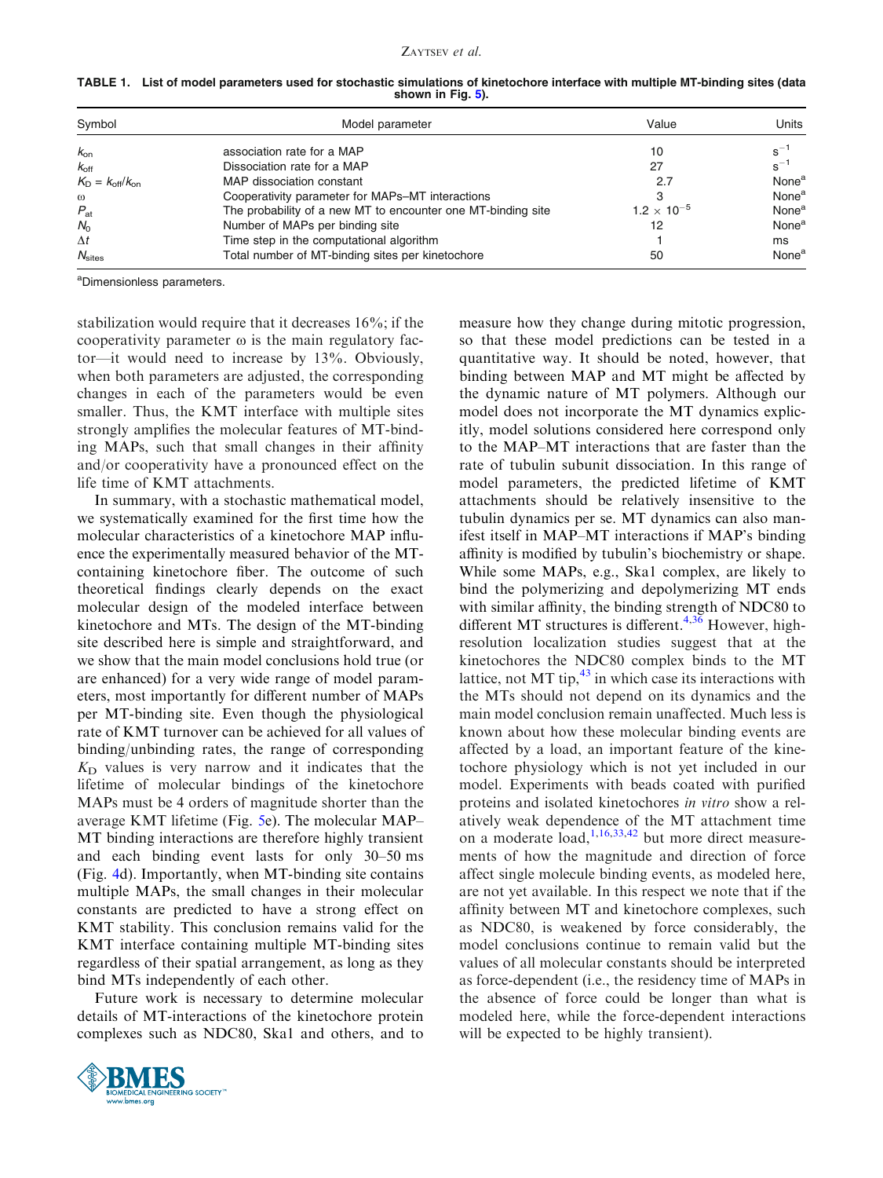| Symbol                               | Model parameter                                              | Value                | Units             |
|--------------------------------------|--------------------------------------------------------------|----------------------|-------------------|
| $k_{on}$                             | association rate for a MAP                                   | 10                   | $s^{-1}$          |
| $k_{\text{off}}$                     | Dissociation rate for a MAP                                  | 27                   | $s^{-1}$          |
| $K_{\rm D} = k_{\rm off}/k_{\rm on}$ | MAP dissociation constant                                    | 2.7                  | None <sup>a</sup> |
| $\omega$                             | Cooperativity parameter for MAPs–MT interactions             | 3                    | None <sup>a</sup> |
| $P_{\rm at}$                         | The probability of a new MT to encounter one MT-binding site | $1.2 \times 10^{-5}$ | None <sup>a</sup> |
| $N_0$                                | Number of MAPs per binding site                              | 12                   | None <sup>a</sup> |
| $\Delta t$                           | Time step in the computational algorithm                     |                      | ms                |
| $N_{\text{sites}}$                   | Total number of MT-binding sites per kinetochore             | 50                   | None <sup>a</sup> |

<span id="page-9-0"></span>TABLE 1. List of model parameters used for stochastic simulations of kinetochore interface with multiple MT-binding sites (data shown in Fig. [5](#page-8-0)).

<sup>a</sup>Dimensionless parameters.

stabilization would require that it decreases 16%; if the cooperativity parameter  $\omega$  is the main regulatory factor—it would need to increase by 13%. Obviously, when both parameters are adjusted, the corresponding changes in each of the parameters would be even smaller. Thus, the KMT interface with multiple sites strongly amplifies the molecular features of MT-binding MAPs, such that small changes in their affinity and/or cooperativity have a pronounced effect on the life time of KMT attachments.

In summary, with a stochastic mathematical model, we systematically examined for the first time how the molecular characteristics of a kinetochore MAP influence the experimentally measured behavior of the MTcontaining kinetochore fiber. The outcome of such theoretical findings clearly depends on the exact molecular design of the modeled interface between kinetochore and MTs. The design of the MT-binding site described here is simple and straightforward, and we show that the main model conclusions hold true (or are enhanced) for a very wide range of model parameters, most importantly for different number of MAPs per MT-binding site. Even though the physiological rate of KMT turnover can be achieved for all values of binding/unbinding rates, the range of corresponding  $K<sub>D</sub>$  values is very narrow and it indicates that the lifetime of molecular bindings of the kinetochore MAPs must be 4 orders of magnitude shorter than the average KMT lifetime (Fig. [5](#page-8-0)e). The molecular MAP– MT binding interactions are therefore highly transient and each binding event lasts for only 30–50 ms (Fig. [4d](#page-7-0)). Importantly, when MT-binding site contains multiple MAPs, the small changes in their molecular constants are predicted to have a strong effect on KMT stability. This conclusion remains valid for the KMT interface containing multiple MT-binding sites regardless of their spatial arrangement, as long as they bind MTs independently of each other.

Future work is necessary to determine molecular details of MT-interactions of the kinetochore protein complexes such as NDC80, Ska1 and others, and to



measure how they change during mitotic progression, so that these model predictions can be tested in a quantitative way. It should be noted, however, that binding between MAP and MT might be affected by the dynamic nature of MT polymers. Although our model does not incorporate the MT dynamics explicitly, model solutions considered here correspond only to the MAP–MT interactions that are faster than the rate of tubulin subunit dissociation. In this range of model parameters, the predicted lifetime of KMT attachments should be relatively insensitive to the tubulin dynamics per se. MT dynamics can also manifest itself in MAP–MT interactions if MAP's binding affinity is modified by tubulin's biochemistry or shape. While some MAPs, e.g., Ska1 complex, are likely to bind the polymerizing and depolymerizing MT ends with similar affinity, the binding strength of NDC80 to different MT structures is different.<sup>[4](#page-10-0)[,36](#page-11-0)</sup> However, highresolution localization studies suggest that at the kinetochores the NDC80 complex binds to the MT lattice, not MT tip, $43$  in which case its interactions with the MTs should not depend on its dynamics and the main model conclusion remain unaffected. Much less is known about how these molecular binding events are affected by a load, an important feature of the kinetochore physiology which is not yet included in our model. Experiments with beads coated with purified proteins and isolated kinetochores in vitro show a relatively weak dependence of the MT attachment time on a moderate  $\int$ <sub>[1,](#page-10-0)[16,33,](#page-11-0)[42](#page-12-0)</sub> but more direct measurements of how the magnitude and direction of force affect single molecule binding events, as modeled here, are not yet available. In this respect we note that if the affinity between MT and kinetochore complexes, such as NDC80, is weakened by force considerably, the model conclusions continue to remain valid but the values of all molecular constants should be interpreted as force-dependent (i.e., the residency time of MAPs in the absence of force could be longer than what is modeled here, while the force-dependent interactions will be expected to be highly transient).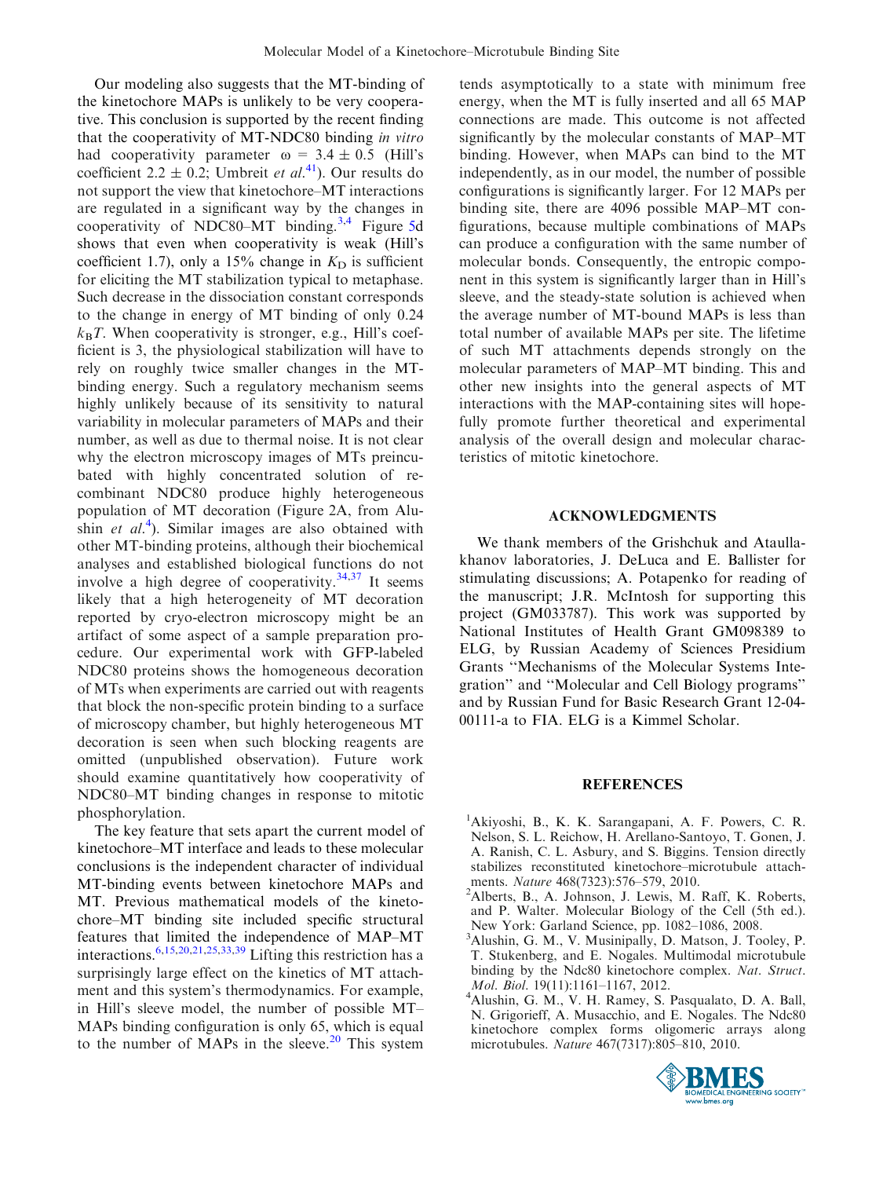<span id="page-10-0"></span>Our modeling also suggests that the MT-binding of the kinetochore MAPs is unlikely to be very cooperative. This conclusion is supported by the recent finding that the cooperativity of MT-NDC80 binding in vitro had cooperativity parameter  $\omega = 3.4 \pm 0.5$  (Hill's coefficient 2.2  $\pm$  0.2; Umbreit *et al.*<sup>[41](#page-12-0)</sup>). Our results do not support the view that kinetochore–MT interactions are regulated in a significant way by the changes in cooperativity of NDC80–MT binding.<sup>3,4</sup> Figure [5d](#page-8-0) shows that even when cooperativity is weak (Hill's coefficient 1.7), only a 15% change in  $K<sub>D</sub>$  is sufficient for eliciting the MT stabilization typical to metaphase. Such decrease in the dissociation constant corresponds to the change in energy of MT binding of only 0.24  $k_B T$ . When cooperativity is stronger, e.g., Hill's coefficient is 3, the physiological stabilization will have to rely on roughly twice smaller changes in the MTbinding energy. Such a regulatory mechanism seems highly unlikely because of its sensitivity to natural variability in molecular parameters of MAPs and their number, as well as due to thermal noise. It is not clear why the electron microscopy images of MTs preincubated with highly concentrated solution of recombinant NDC80 produce highly heterogeneous population of MT decoration (Figure 2A, from Alushin et  $al$ <sup>4</sup>). Similar images are also obtained with other MT-binding proteins, although their biochemical analyses and established biological functions do not involve a high degree of cooperativity. $34,37$  It seems likely that a high heterogeneity of MT decoration reported by cryo-electron microscopy might be an artifact of some aspect of a sample preparation procedure. Our experimental work with GFP-labeled NDC80 proteins shows the homogeneous decoration of MTs when experiments are carried out with reagents that block the non-specific protein binding to a surface of microscopy chamber, but highly heterogeneous MT decoration is seen when such blocking reagents are omitted (unpublished observation). Future work should examine quantitatively how cooperativity of NDC80–MT binding changes in response to mitotic phosphorylation.

The key feature that sets apart the current model of kinetochore–MT interface and leads to these molecular conclusions is the independent character of individual MT-binding events between kinetochore MAPs and MT. Previous mathematical models of the kinetochore–MT binding site included specific structural features that limited the independence of MAP–MT interactions.[6,15,20,21,25,33,](#page-11-0)[39](#page-12-0) Lifting this restriction has a surprisingly large effect on the kinetics of MT attachment and this system's thermodynamics. For example, in Hill's sleeve model, the number of possible MT– MAPs binding configuration is only 65, which is equal to the number of MAPs in the sleeve. $20$  This system tends asymptotically to a state with minimum free energy, when the MT is fully inserted and all 65 MAP connections are made. This outcome is not affected significantly by the molecular constants of MAP–MT binding. However, when MAPs can bind to the MT independently, as in our model, the number of possible configurations is significantly larger. For 12 MAPs per binding site, there are 4096 possible MAP–MT configurations, because multiple combinations of MAPs can produce a configuration with the same number of molecular bonds. Consequently, the entropic component in this system is significantly larger than in Hill's sleeve, and the steady-state solution is achieved when the average number of MT-bound MAPs is less than total number of available MAPs per site. The lifetime of such MT attachments depends strongly on the molecular parameters of MAP–MT binding. This and other new insights into the general aspects of MT interactions with the MAP-containing sites will hopefully promote further theoretical and experimental analysis of the overall design and molecular characteristics of mitotic kinetochore.

## ACKNOWLEDGMENTS

We thank members of the Grishchuk and Ataullakhanov laboratories, J. DeLuca and E. Ballister for stimulating discussions; A. Potapenko for reading of the manuscript; J.R. McIntosh for supporting this project (GM033787). This work was supported by National Institutes of Health Grant GM098389 to ELG, by Russian Academy of Sciences Presidium Grants ''Mechanisms of the Molecular Systems Integration'' and ''Molecular and Cell Biology programs'' and by Russian Fund for Basic Research Grant 12-04- 00111-a to FIA. ELG is a Kimmel Scholar.

#### REFERENCES

- 1 Akiyoshi, B., K. K. Sarangapani, A. F. Powers, C. R. Nelson, S. L. Reichow, H. Arellano-Santoyo, T. Gonen, J. A. Ranish, C. L. Asbury, and S. Biggins. Tension directly stabilizes reconstituted kinetochore–microtubule attachments. Nature 468(7323):576-579, 2010.
- Alberts, B., A. Johnson, J. Lewis, M. Raff, K. Roberts, and P. Walter. Molecular Biology of the Cell (5th ed.). New York: Garland Science, pp. 1082–1086, 2008.
- 3 Alushin, G. M., V. Musinipally, D. Matson, J. Tooley, P. T. Stukenberg, and E. Nogales. Multimodal microtubule binding by the Ndc80 kinetochore complex. Nat. Struct. Mol. Biol. 19(11):1161-1167, 2012.
- Alushin, G. M., V. H. Ramey, S. Pasqualato, D. A. Ball, N. Grigorieff, A. Musacchio, and E. Nogales. The Ndc80 kinetochore complex forms oligomeric arrays along microtubules. Nature 467(7317):805–810, 2010.

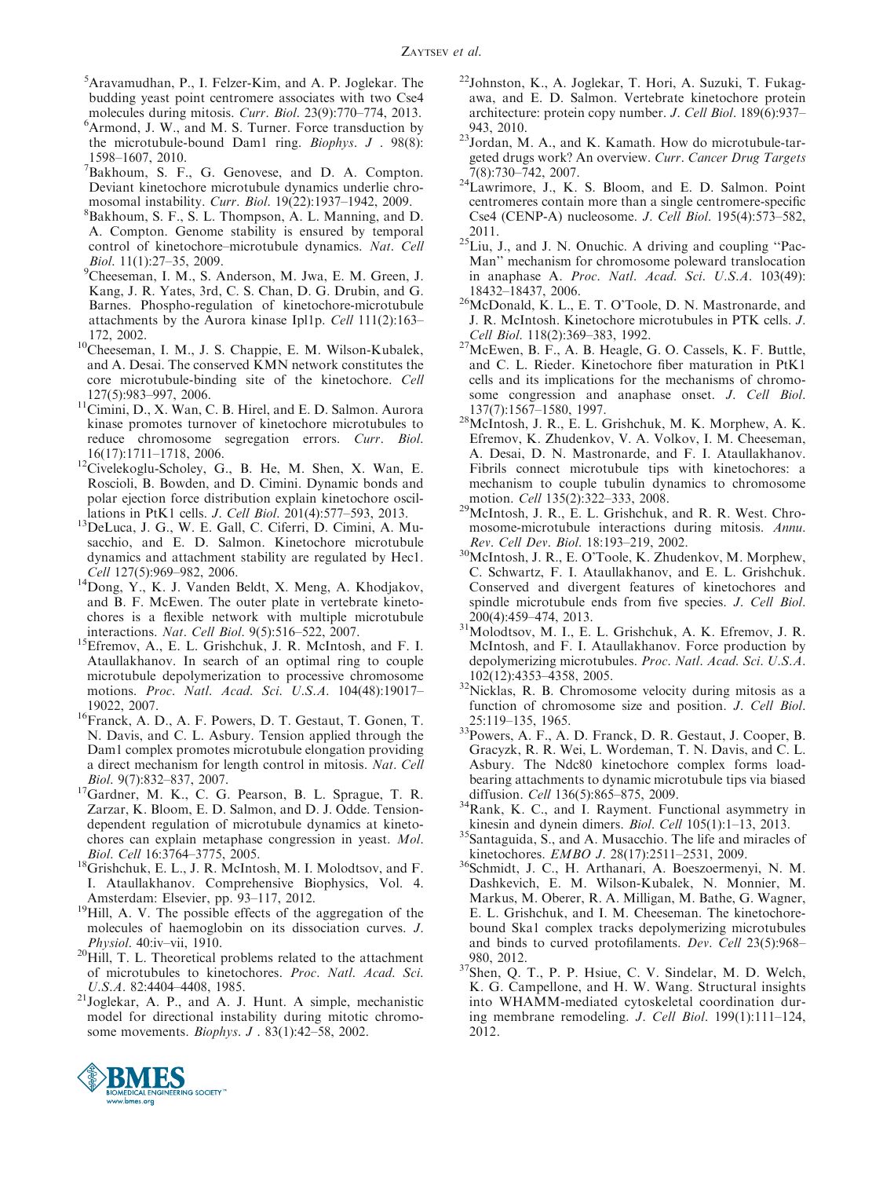- <span id="page-11-0"></span>5 Aravamudhan, P., I. Felzer-Kim, and A. P. Joglekar. The budding yeast point centromere associates with two Cse4 molecules during mitosis. Curr. Biol. 23(9):770–774, 2013.
- <sup>6</sup>Armond, J. W., and M. S. Turner. Force transduction by the microtubule-bound Dam1 ring. Biophys. J . 98(8): 1598–1607, 2010.
- <sup>7</sup>Bakhoum, S. F., G. Genovese, and D. A. Compton. Deviant kinetochore microtubule dynamics underlie chromosomal instability. Curr. Biol. 19(22):1937-1942, 2009.
- <sup>8</sup>Bakhoum, S. F., S. L. Thompson, A. L. Manning, and D. A. Compton. Genome stability is ensured by temporal control of kinetochore–microtubule dynamics. Nat. Cell  $Biol.$  11(1):27-35, 2009.
- Cheeseman, I. M., S. Anderson, M. Jwa, E. M. Green, J. Kang, J. R. Yates, 3rd, C. S. Chan, D. G. Drubin, and G. Barnes. Phospho-regulation of kinetochore-microtubule attachments by the Aurora kinase Ipl1p. Cell 111(2):163–
- 172, 2002. 10Cheeseman, I. M., J. S. Chappie, E. M. Wilson-Kubalek, and A. Desai. The conserved KMN network constitutes the core microtubule-binding site of the kinetochore. Cell
- $127(5):983–997, 2006.$ <br><sup>11</sup>Cimini, D., X. Wan, C. B. Hirel, and E. D. Salmon. Aurora kinase promotes turnover of kinetochore microtubules to reduce chromosome segregation errors. Curr. Biol.
- 16(17):1711–1718, 2006. 12Civelekoglu-Scholey, G., B. He, M. Shen, X. Wan, E. Roscioli, B. Bowden, and D. Cimini. Dynamic bonds and polar ejection force distribution explain kinetochore oscil-
- lations in PtK1 cells. *J. Cell Biol.* 201(4):577–593, 2013.<br><sup>13</sup>DeLuca, J. G., W. E. Gall, C. Ciferri, D. Cimini, A. Musacchio, and E. D. Salmon. Kinetochore microtubule dynamics and attachment stability are regulated by Hec1.
- Cell 127(5):969–982, 2006.<br><sup>14</sup>Dong, Y., K. J. Vanden Beldt, X. Meng, A. Khodjakov, and B. F. McEwen. The outer plate in vertebrate kinetochores is a flexible network with multiple microtubule
- interactions. Nat. Cell Biol. 9(5):516–522, 2007.<br><sup>15</sup>Efremov, A., E. L. Grishchuk, J. R. McIntosh, and F. I. Ataullakhanov. In search of an optimal ring to couple microtubule depolymerization to processive chromosome motions. Proc. Natl. Acad. Sci. U.S.A. 104(48):19017–
- 19022, 2007. 16Franck, A. D., A. F. Powers, D. T. Gestaut, T. Gonen, T. N. Davis, and C. L. Asbury. Tension applied through the Dam1 complex promotes microtubule elongation providing a direct mechanism for length control in mitosis. Nat. Cell
- Biol. 9(7):832–837, 2007.<br><sup>17</sup>Gardner, M. K., C. G. Pearson, B. L. Sprague, T. R. Zarzar, K. Bloom, E. D. Salmon, and D. J. Odde. Tensiondependent regulation of microtubule dynamics at kinetochores can explain metaphase congression in yeast. Mol.
- Biol. Cell 16:3764–3775, 2005.<br><sup>18</sup>Grishchuk, E. L., J. R. McIntosh, M. I. Molodtsov, and F. I. Ataullakhanov. Comprehensive Biophysics, Vol. 4.
- Amsterdam: Elsevier, pp. 93–117, 2012.<br><sup>19</sup>Hill, A. V. The possible effects of the aggregation of the molecules of haemoglobin on its dissociation curves. J.
- *Physiol.* 40:iv–vii, 1910. 20Hill, T. L. Theoretical problems related to the attachment of microtubules to kinetochores. Proc. Natl. Acad. Sci.
- U.S.A. 82:4404–4408, 1985.<br><sup>21</sup>Joglekar, A. P., and A. J. Hunt. A simple, mechanistic model for directional instability during mitotic chromosome movements. *Biophys. J* . 83(1):42-58, 2002.
- 22Johnston, K., A. Joglekar, T. Hori, A. Suzuki, T. Fukagawa, and E. D. Salmon. Vertebrate kinetochore protein architecture: protein copy number. J. Cell Biol. 189(6):937–
- 943, 2010.<br> $23$ Jordan, M. A., and K. Kamath. How do microtubule-targeted drugs work? An overview. Curr. Cancer Drug Targets
- 7(8):730–742, 2007. 24Lawrimore, J., K. S. Bloom, and E. D. Salmon. Point centromeres contain more than a single centromere-specific Cse4 (CENP-A) nucleosome. J. Cell Biol. 195(4):573–582,
- $^{2011}$ .<br><sup>25</sup>Liu, J., and J. N. Onuchic. A driving and coupling "Pac-Man'' mechanism for chromosome poleward translocation in anaphase A. Proc. Natl. Acad. Sci. U.S.A. 103(49):
- $^{26}$ McDonald, K. L., E. T. O'Toole, D. N. Mastronarde, and J. R. McIntosh. Kinetochore microtubules in PTK cells. J.
- *Cell Biol.* 118(2):369–383, 1992.<br><sup>27</sup>McEwen, B. F., A. B. Heagle, G. O. Cassels, K. F. Buttle, and C. L. Rieder. Kinetochore fiber maturation in PtK1 cells and its implications for the mechanisms of chromosome congression and anaphase onset. *J. Cell Biol.* 137(7):1567–1580, 1997.
- $^{28}$ McIntosh, J. R., E. L. Grishchuk, M. K. Morphew, A. K. Efremov, K. Zhudenkov, V. A. Volkov, I. M. Cheeseman, A. Desai, D. N. Mastronarde, and F. I. Ataullakhanov. Fibrils connect microtubule tips with kinetochores: a mechanism to couple tubulin dynamics to chromosome motion. *Cell* 135(2):322–333, 2008.
- $^{29}$ McIntosh, J. R., E. L. Grishchuk, and R. R. West. Chromosome-microtubule interactions during mitosis. Annu.<br>Rev. Cell Dev. Biol. 18:193-219, 2002.
- <sup>30</sup>McIntosh, J. R., E. O'Toole, K. Zhudenkov, M. Morphew, C. Schwartz, F. I. Ataullakhanov, and E. L. Grishchuk. Conserved and divergent features of kinetochores and spindle microtubule ends from five species. J. Cell Biol.
- $200(4)$ :459–474, 2013.<br><sup>31</sup>Molodtsov, M. I., E. L. Grishchuk, A. K. Efremov, J. R. McIntosh, and F. I. Ataullakhanov. Force production by depolymerizing microtubules. Proc. Natl. Acad. Sci. U.S.A.
- $102(12):4353-4358$ , 2005.<br><sup>32</sup>Nicklas, R. B. Chromosome velocity during mitosis as a function of chromosome size and position. J. Cell Biol.
- 25:119–135, 1965.<br><sup>33</sup>Powers, A. F., A. D. Franck, D. R. Gestaut, J. Cooper, B. Gracyzk, R. R. Wei, L. Wordeman, T. N. Davis, and C. L. Asbury. The Ndc80 kinetochore complex forms loadbearing attachments to dynamic microtubule tips via biased
- diffusion. *Cell* 136(5):865–875, 2009.<br><sup>34</sup>Rank, K. C., and I. Rayment. Functional asymmetry in kinesin and dynein dimers. *Biol. Cell* 105(1):1–13, 2013.
- $35$ Santaguida, S., and A. Musacchio. The life and miracles of
- kinetochores. EMBO J. 28(17):2511–2531, 2009.<br><sup>36</sup>Schmidt, J. C., H. Arthanari, A. Boeszoermenyi, N. M. Dashkevich, E. M. Wilson-Kubalek, N. Monnier, M. Markus, M. Oberer, R. A. Milligan, M. Bathe, G. Wagner, E. L. Grishchuk, and I. M. Cheeseman. The kinetochorebound Ska1 complex tracks depolymerizing microtubules and binds to curved protofilaments. Dev. Cell 23(5):968–
- 980, 2012.<br> $37$ Shen, Q. T., P. P. Hsiue, C. V. Sindelar, M. D. Welch, K. G. Campellone, and H. W. Wang. Structural insights into WHAMM-mediated cytoskeletal coordination during membrane remodeling. J. Cell Biol. 199(1):111–124, 2012.